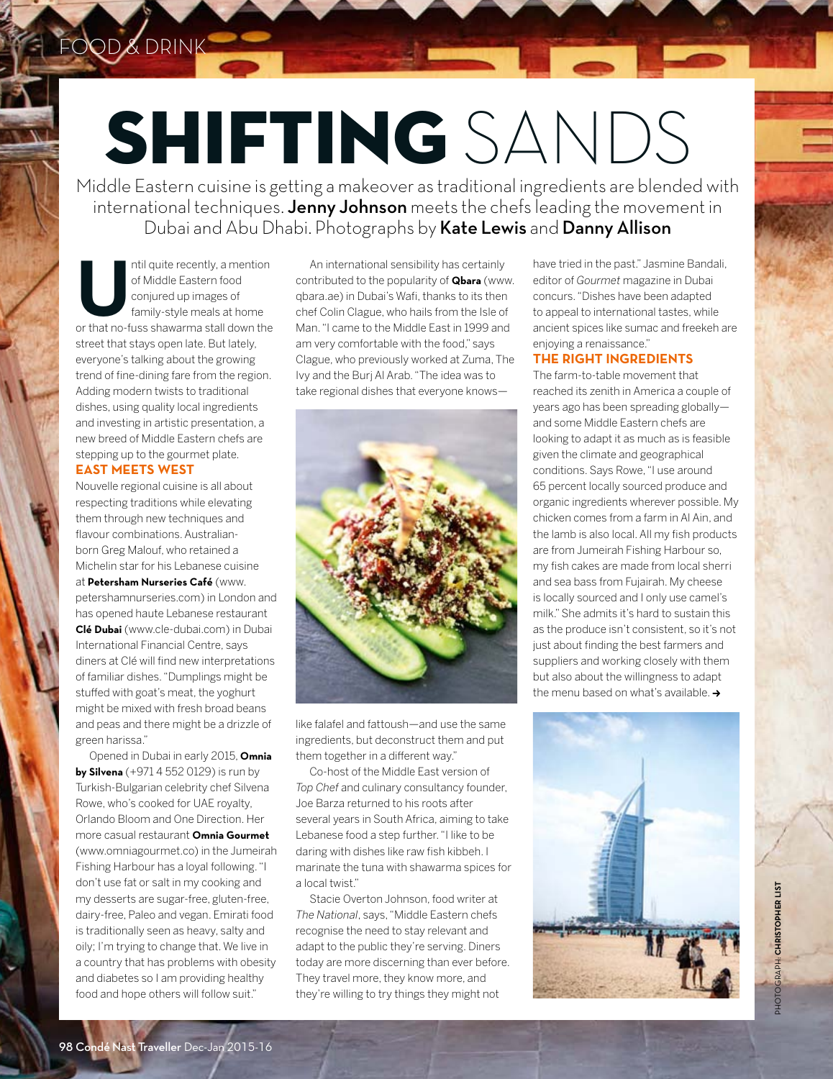# [SHIFTING](http://www.cntraveller.in/) SANDS

Middle Eastern cuisine is getting a makeover as traditional ingredients are blended with international techniques. Jenny Johnson meets the chefs leading the movement in Dubai and Abu Dhabi. Photographs by Kate Lewis and Danny Allison

ntil quite recently, a mention<br>
of Middle Eastern food<br>
conjured up images of<br>
family-style meals at home<br>
or that no-fuss shawarma stall down the of Middle Eastern food conjured up images of family-style meals at home street that stays open late. But lately, everyone's talking about the growing trend of fine-dining fare from the region. Adding modern twists to traditional dishes, using quality local ingredients and investing in artistic presentation, a new breed of Middle Eastern chefs are stepping up to the gourmet plate.

FOOD & DRINK

## **EAST MEETS WEST**

Nouvelle regional cuisine is all about respecting traditions while elevating them through new techniques and flavour combinations. Australianborn Greg Malouf, who retained a Michelin star for his Lebanese cuisine at **Petersham Nurseries Café** (www.

petershamnurseries.com) in London and has opened haute Lebanese restaurant **Clé Dubai** (www.cle-dubai.com) in Dubai International Financial Centre, says diners at Clé will find new interpretations of familiar dishes. "Dumplings might be stuffed with goat's meat, the yoghurt might be mixed with fresh broad beans and peas and there might be a drizzle of green harissa."

Opened in Dubai in early 2015, **Omnia by Silvena** (+971 4 552 0129) is run by Turkish-Bulgarian celebrity chef Silvena Rowe, who's cooked for UAE royalty, Orlando Bloom and One Direction. Her more casual restaurant **Omnia Gourmet** (www.omniagourmet.co) in the Jumeirah Fishing Harbour has a loyal following. "I don't use fat or salt in my cooking and my desserts are sugar-free, gluten-free, dairy-free, Paleo and vegan. Emirati food is traditionally seen as heavy, salty and oily; I'm trying to change that. We live in a country that has problems with obesity and diabetes so I am providing healthy food and hope others will follow suit."

An international sensibility has certainly contributed to the popularity of **Qbara** (www. qbara.ae) in Dubai's Wafi, thanks to its then chef Colin Clague, who hails from the Isle of Man. "I came to the Middle East in 1999 and am very comfortable with the food," says Clague, who previously worked at Zuma, The Ivy and the Burj Al Arab. "The idea was to take regional dishes that everyone knows—



like falafel and fattoush—and use the same ingredients, but deconstruct them and put them together in a different way."

Co-host of the Middle East version of *Top Chef* and culinary consultancy founder, Joe Barza returned to his roots after several years in South Africa, aiming to take Lebanese food a step further. "I like to be daring with dishes like raw fish kibbeh. I marinate the tuna with shawarma spices for a local twist."

Stacie Overton Johnson, food writer at *The National*, says, "Middle Eastern chefs recognise the need to stay relevant and adapt to the public they're serving. Diners today are more discerning than ever before. They travel more, they know more, and they're willing to try things they might not

have tried in the past." Jasmine Bandali, editor of *Gourmet* magazine in Dubai concurs. "Dishes have been adapted to appeal to international tastes, while ancient spices like sumac and freekeh are enjoying a renaissance."

### **THE RIGHT INGREDIENTS**

The farm-to-table movement that reached its zenith in America a couple of years ago has been spreading globally and some Middle Eastern chefs are looking to adapt it as much as is feasible given the climate and geographical conditions. Says Rowe, "I use around 65 percent locally sourced produce and organic ingredients wherever possible. My chicken comes from a farm in Al Ain, and the lamb is also local. All my fish products are from Jumeirah Fishing Harbour so, my fish cakes are made from local sherri and sea bass from Fujairah. My cheese is locally sourced and I only use camel's milk." She admits it's hard to sustain this as the produce isn't consistent, so it's not just about finding the best farmers and suppliers and working closely with them but also about the willingness to adapt the menu based on what's available.  $\rightarrow$ 

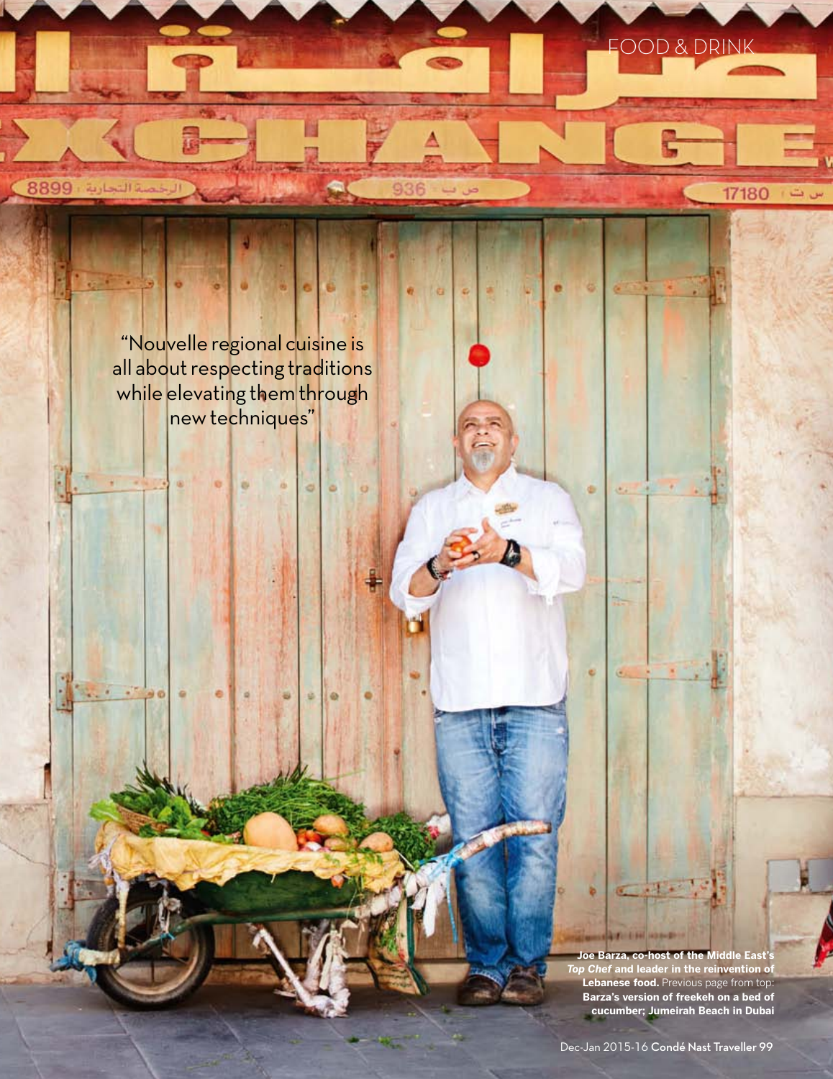Food & drinkمنة التجارية . 8899

> "Nouvelle regional cuisine is [all about respecting traditions](http://www.cntraveller.in/)  while elevating them through new techniques"

> > **Joe Barza, co-host of the Middle East**' *Top Chef* **and leader in the reinvention of Lebanese food.** Previous page from top: **Barza's version of freekeh on a bed of cucumber; Jumeirah Beach in Dubai**

**CELEN HOME** 

17180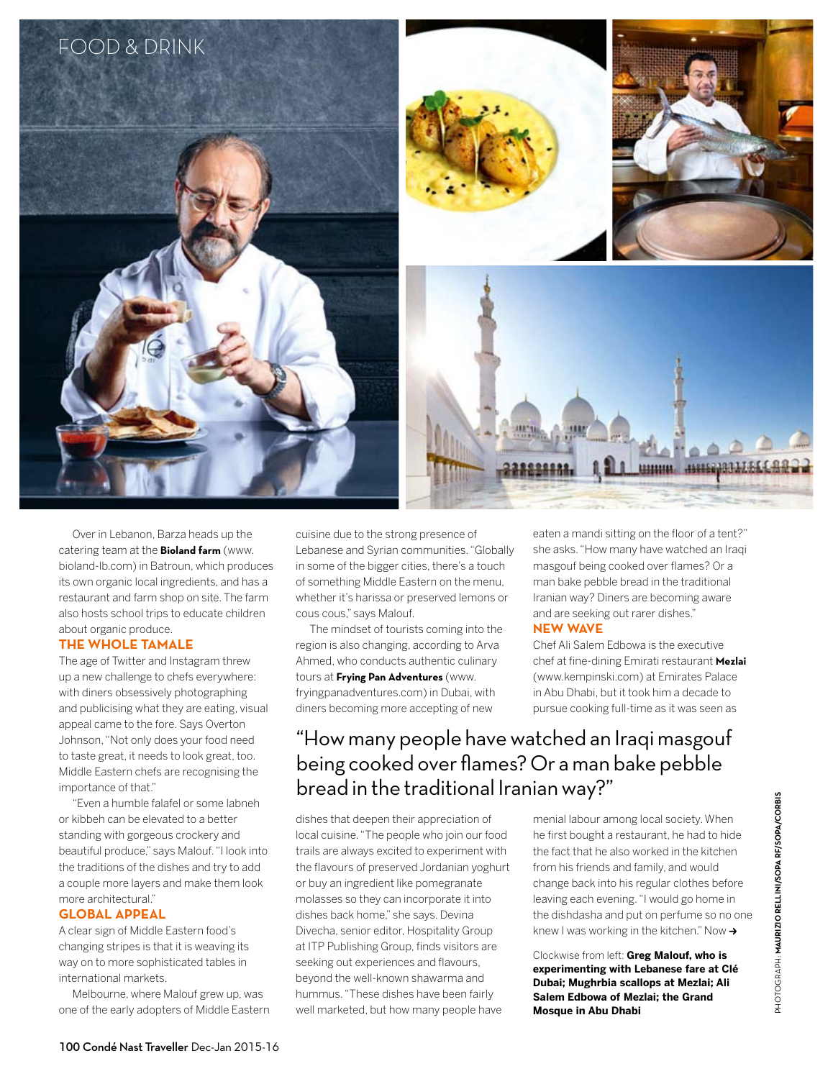

Over in Lebanon, Barza heads up the catering team at the **Bioland farm** (www. bioland-lb.com) in Batroun, which produces its own organic local ingredients, and has a restaurant and farm shop on site. The farm also hosts school trips to educate children

#### about organic produce. **THE WHOLE TAMALE**

The age of Twitter and Instagram threw up a new challenge to chefs everywhere: with diners obsessively photographing and publicising what they are eating, visual appeal came to the fore. Says Overton Johnson, "Not only does your food need to taste great, it needs to look great, too. Middle Eastern chefs are recognising the importance of that."

"Even a humble falafel or some labneh or kibbeh can be elevated to a better standing with gorgeous crockery and beautiful produce," says Malouf. "I look into the traditions of the dishes and try to add a couple more layers and make them look more architectural."

#### **GLOBAL APPEAL**

A clear sign of Middle Eastern food's changing stripes is that it is weaving its way on to more sophisticated tables in international markets.

Melbourne, where Malouf grew up, was one of the early adopters of Middle Eastern cuisine due to the strong presence of Lebanese and Syrian communities. "Globally in some of the bigger cities, there's a touch of something Middle Eastern on the menu, whether it's harissa or preserved lemons or cous cous," says Malouf.

The mindset of tourists coming into the region is also changing, according to Arva Ahmed, who conducts authentic culinary tours at **Frying Pan Adventures** (www. fryingpanadventures.com) in Dubai, with diners becoming more accepting of new

eaten a mandi sitting on the floor of a tent?" she asks. "How many have watched an Iraqi masgouf being cooked over flames? Or a man bake pebble bread in the traditional Iranian way? Diners are becoming aware and are seeking out rarer dishes."

#### **NEW WAVE**

Chef Ali Salem Edbowa is the executive chef at fine-dining Emirati restaurant **Mezlai** (www.kempinski.com) at Emirates Palace in Abu Dhabi, but it took him a decade to pursue cooking full-time as it was seen as

# ["How many people have watched an Iraqi masgouf](http://www.cntraveller.in/)  being cooked over flames? Or a man bake pebble bread in the traditional Iranian way?"

dishes that deepen their appreciation of local cuisine. "The people who join our food trails are always excited to experiment with the flavours of preserved Jordanian yoghurt or buy an ingredient like pomegranate molasses so they can incorporate it into dishes back home," she says. Devina Divecha, senior editor, Hospitality Group at ITP Publishing Group, finds visitors are seeking out experiences and flavours, beyond the well-known shawarma and hummus. "These dishes have been fairly well marketed, but how many people have

menial labour among local society. When he first bought a restaurant, he had to hide the fact that he also worked in the kitchen from his friends and family, and would change back into his regular clothes before leaving each evening. "I would go home in the dishdasha and put on perfume so no one knew I was working in the kitchen." Now  $\rightarrow$ 

Clockwise from left: **Greg Malouf, who is experimenting with Lebanese fare at Clé Dubai; Mughrbia scallops at Mezlai; Ali Salem Edbowa of Mezlai; the Grand Mosque in Abu Dhabi**